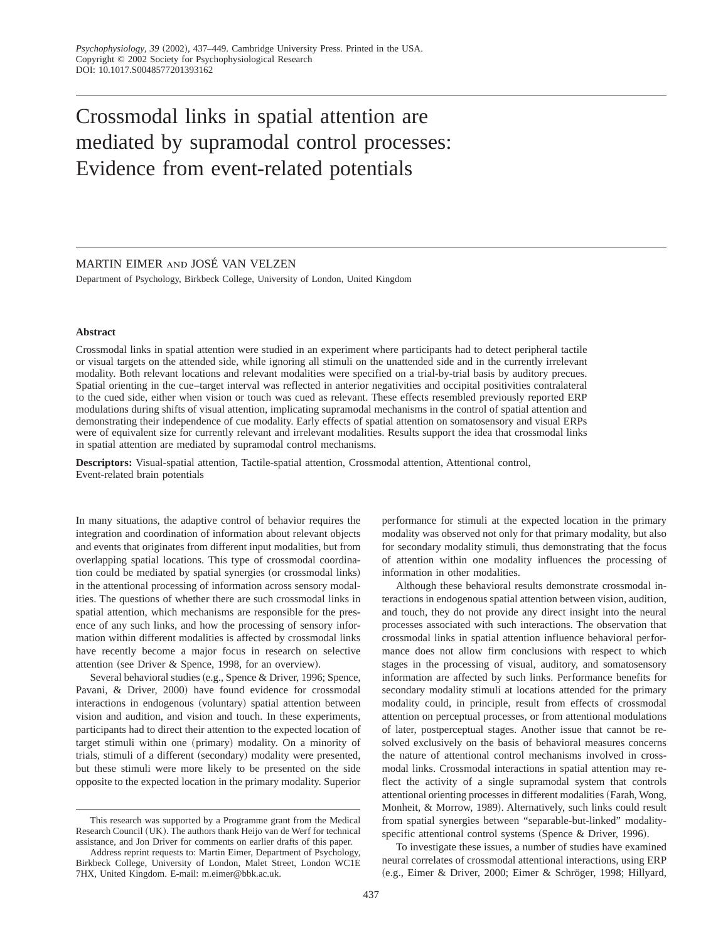# Crossmodal links in spatial attention are mediated by supramodal control processes: Evidence from event-related potentials

# MARTIN EIMER and JOSÉ VAN VELZEN

Department of Psychology, Birkbeck College, University of London, United Kingdom

#### **Abstract**

Crossmodal links in spatial attention were studied in an experiment where participants had to detect peripheral tactile or visual targets on the attended side, while ignoring all stimuli on the unattended side and in the currently irrelevant modality. Both relevant locations and relevant modalities were specified on a trial-by-trial basis by auditory precues. Spatial orienting in the cue–target interval was reflected in anterior negativities and occipital positivities contralateral to the cued side, either when vision or touch was cued as relevant. These effects resembled previously reported ERP modulations during shifts of visual attention, implicating supramodal mechanisms in the control of spatial attention and demonstrating their independence of cue modality. Early effects of spatial attention on somatosensory and visual ERPs were of equivalent size for currently relevant and irrelevant modalities. Results support the idea that crossmodal links in spatial attention are mediated by supramodal control mechanisms.

**Descriptors:** Visual-spatial attention, Tactile-spatial attention, Crossmodal attention, Attentional control, Event-related brain potentials

In many situations, the adaptive control of behavior requires the integration and coordination of information about relevant objects and events that originates from different input modalities, but from overlapping spatial locations. This type of crossmodal coordination could be mediated by spatial synergies (or crossmodal links) in the attentional processing of information across sensory modalities. The questions of whether there are such crossmodal links in spatial attention, which mechanisms are responsible for the presence of any such links, and how the processing of sensory information within different modalities is affected by crossmodal links have recently become a major focus in research on selective attention (see Driver & Spence, 1998, for an overview).

Several behavioral studies (e.g., Spence & Driver, 1996; Spence, Pavani, & Driver, 2000) have found evidence for crossmodal interactions in endogenous (voluntary) spatial attention between vision and audition, and vision and touch. In these experiments, participants had to direct their attention to the expected location of target stimuli within one (primary) modality. On a minority of trials, stimuli of a different (secondary) modality were presented, but these stimuli were more likely to be presented on the side opposite to the expected location in the primary modality. Superior

performance for stimuli at the expected location in the primary modality was observed not only for that primary modality, but also for secondary modality stimuli, thus demonstrating that the focus of attention within one modality influences the processing of information in other modalities.

Although these behavioral results demonstrate crossmodal interactions in endogenous spatial attention between vision, audition, and touch, they do not provide any direct insight into the neural processes associated with such interactions. The observation that crossmodal links in spatial attention influence behavioral performance does not allow firm conclusions with respect to which stages in the processing of visual, auditory, and somatosensory information are affected by such links. Performance benefits for secondary modality stimuli at locations attended for the primary modality could, in principle, result from effects of crossmodal attention on perceptual processes, or from attentional modulations of later, postperceptual stages. Another issue that cannot be resolved exclusively on the basis of behavioral measures concerns the nature of attentional control mechanisms involved in crossmodal links. Crossmodal interactions in spatial attention may reflect the activity of a single supramodal system that controls attentional orienting processes in different modalities (Farah, Wong, Monheit, & Morrow, 1989). Alternatively, such links could result from spatial synergies between "separable-but-linked" modalityspecific attentional control systems (Spence  $&$  Driver, 1996).

To investigate these issues, a number of studies have examined neural correlates of crossmodal attentional interactions, using ERP (e.g., Eimer & Driver, 2000; Eimer & Schröger, 1998; Hillyard,

This research was supported by a Programme grant from the Medical Research Council (UK). The authors thank Heijo van de Werf for technical assistance, and Jon Driver for comments on earlier drafts of this paper.

Address reprint requests to: Martin Eimer, Department of Psychology, Birkbeck College, University of London, Malet Street, London WC1E 7HX, United Kingdom. E-mail: m.eimer@bbk.ac.uk.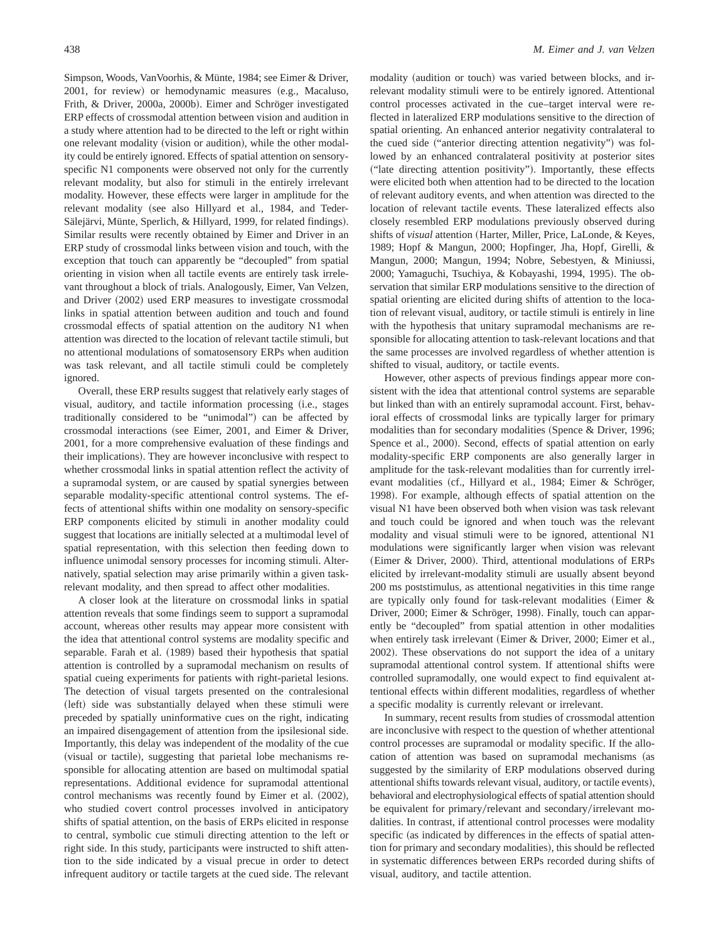Simpson, Woods, VanVoorhis, & Münte, 1984; see Eimer & Driver,  $2001$ , for review) or hemodynamic measures  $(e.g., Macalus,$ Frith, & Driver, 2000a, 2000b). Eimer and Schröger investigated ERP effects of crossmodal attention between vision and audition in a study where attention had to be directed to the left or right within one relevant modality (vision or audition), while the other modality could be entirely ignored. Effects of spatial attention on sensoryspecific N1 components were observed not only for the currently relevant modality, but also for stimuli in the entirely irrelevant modality. However, these effects were larger in amplitude for the relevant modality (see also Hillyard et al., 1984, and Teder-Sälejärvi, Münte, Sperlich, & Hillyard, 1999, for related findings). Similar results were recently obtained by Eimer and Driver in an ERP study of crossmodal links between vision and touch, with the exception that touch can apparently be "decoupled" from spatial orienting in vision when all tactile events are entirely task irrelevant throughout a block of trials. Analogously, Eimer, Van Velzen, and Driver (2002) used ERP measures to investigate crossmodal links in spatial attention between audition and touch and found crossmodal effects of spatial attention on the auditory N1 when attention was directed to the location of relevant tactile stimuli, but no attentional modulations of somatosensory ERPs when audition was task relevant, and all tactile stimuli could be completely ignored.

Overall, these ERP results suggest that relatively early stages of visual, auditory, and tactile information processing (i.e., stages traditionally considered to be "unimodal") can be affected by crossmodal interactions (see Eimer, 2001, and Eimer & Driver, 2001, for a more comprehensive evaluation of these findings and their implications). They are however inconclusive with respect to whether crossmodal links in spatial attention reflect the activity of a supramodal system, or are caused by spatial synergies between separable modality-specific attentional control systems. The effects of attentional shifts within one modality on sensory-specific ERP components elicited by stimuli in another modality could suggest that locations are initially selected at a multimodal level of spatial representation, with this selection then feeding down to influence unimodal sensory processes for incoming stimuli. Alternatively, spatial selection may arise primarily within a given taskrelevant modality, and then spread to affect other modalities.

A closer look at the literature on crossmodal links in spatial attention reveals that some findings seem to support a supramodal account, whereas other results may appear more consistent with the idea that attentional control systems are modality specific and separable. Farah et al. (1989) based their hypothesis that spatial attention is controlled by a supramodal mechanism on results of spatial cueing experiments for patients with right-parietal lesions. The detection of visual targets presented on the contralesional (left) side was substantially delayed when these stimuli were preceded by spatially uninformative cues on the right, indicating an impaired disengagement of attention from the ipsilesional side. Importantly, this delay was independent of the modality of the cue (visual or tactile), suggesting that parietal lobe mechanisms responsible for allocating attention are based on multimodal spatial representations. Additional evidence for supramodal attentional control mechanisms was recently found by Eimer et al. (2002), who studied covert control processes involved in anticipatory shifts of spatial attention, on the basis of ERPs elicited in response to central, symbolic cue stimuli directing attention to the left or right side. In this study, participants were instructed to shift attention to the side indicated by a visual precue in order to detect infrequent auditory or tactile targets at the cued side. The relevant

modality (audition or touch) was varied between blocks, and irrelevant modality stimuli were to be entirely ignored. Attentional control processes activated in the cue–target interval were reflected in lateralized ERP modulations sensitive to the direction of spatial orienting. An enhanced anterior negativity contralateral to the cued side ("anterior directing attention negativity") was followed by an enhanced contralateral positivity at posterior sites ("late directing attention positivity"). Importantly, these effects were elicited both when attention had to be directed to the location of relevant auditory events, and when attention was directed to the location of relevant tactile events. These lateralized effects also closely resembled ERP modulations previously observed during shifts of *visual* attention (Harter, Miller, Price, LaLonde, & Keyes, 1989; Hopf & Mangun, 2000; Hopfinger, Jha, Hopf, Girelli, & Mangun, 2000; Mangun, 1994; Nobre, Sebestyen, & Miniussi, 2000; Yamaguchi, Tsuchiya, & Kobayashi, 1994, 1995). The observation that similar ERP modulations sensitive to the direction of spatial orienting are elicited during shifts of attention to the location of relevant visual, auditory, or tactile stimuli is entirely in line with the hypothesis that unitary supramodal mechanisms are responsible for allocating attention to task-relevant locations and that the same processes are involved regardless of whether attention is shifted to visual, auditory, or tactile events.

However, other aspects of previous findings appear more consistent with the idea that attentional control systems are separable but linked than with an entirely supramodal account. First, behavioral effects of crossmodal links are typically larger for primary modalities than for secondary modalities (Spence & Driver, 1996; Spence et al., 2000). Second, effects of spatial attention on early modality-specific ERP components are also generally larger in amplitude for the task-relevant modalities than for currently irrelevant modalities (cf., Hillyard et al., 1984; Eimer & Schröger, 1998). For example, although effects of spatial attention on the visual N1 have been observed both when vision was task relevant and touch could be ignored and when touch was the relevant modality and visual stimuli were to be ignored, attentional N1 modulations were significantly larger when vision was relevant (Eimer & Driver, 2000). Third, attentional modulations of ERPs elicited by irrelevant-modality stimuli are usually absent beyond 200 ms poststimulus, as attentional negativities in this time range are typically only found for task-relevant modalities (Eimer  $&$ Driver, 2000; Eimer & Schröger, 1998). Finally, touch can apparently be "decoupled" from spatial attention in other modalities when entirely task irrelevant (Eimer & Driver, 2000; Eimer et al., 2002). These observations do not support the idea of a unitary supramodal attentional control system. If attentional shifts were controlled supramodally, one would expect to find equivalent attentional effects within different modalities, regardless of whether a specific modality is currently relevant or irrelevant.

In summary, recent results from studies of crossmodal attention are inconclusive with respect to the question of whether attentional control processes are supramodal or modality specific. If the allocation of attention was based on supramodal mechanisms (as suggested by the similarity of ERP modulations observed during attentional shifts towards relevant visual, auditory, or tactile events), behavioral and electrophysiological effects of spatial attention should be equivalent for primary/relevant and secondary/irrelevant modalities. In contrast, if attentional control processes were modality specific (as indicated by differences in the effects of spatial attention for primary and secondary modalities), this should be reflected in systematic differences between ERPs recorded during shifts of visual, auditory, and tactile attention.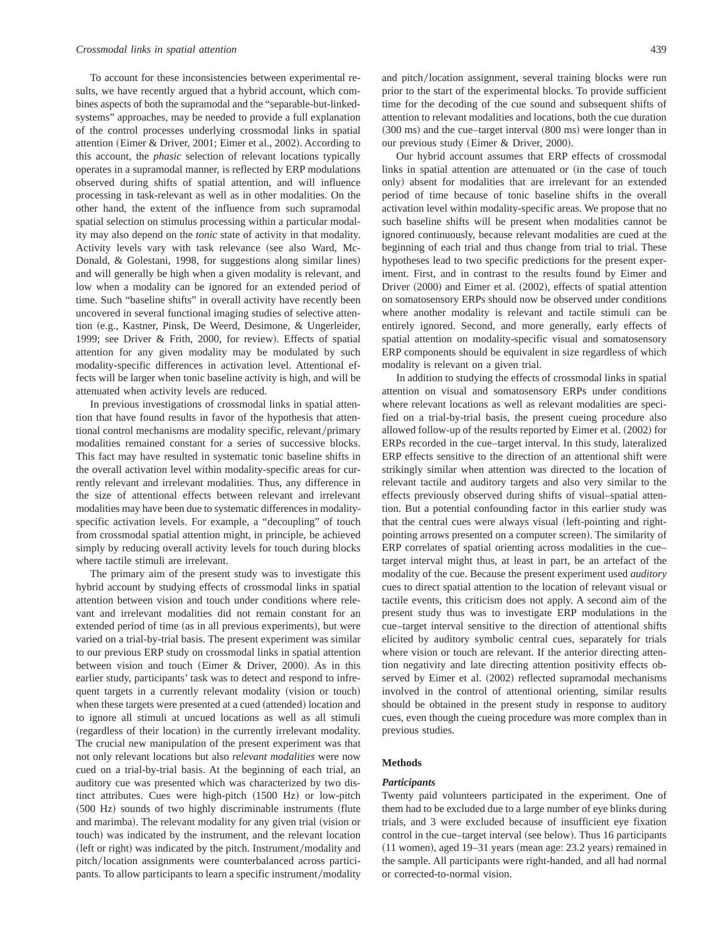To account for these inconsistencies between experimental results, we have recently argued that a hybrid account, which combines aspects of both the supramodal and the "separable-but-linkedsystems" approaches, may be needed to provide a full explanation of the control processes underlying crossmodal links in spatial attention (Eimer & Driver, 2001; Eimer et al., 2002). According to this account, the *phasic* selection of relevant locations typically operates in a supramodal manner, is reflected by ERP modulations observed during shifts of spatial attention, and will influence processing in task-relevant as well as in other modalities. On the other hand, the extent of the influence from such supramodal spatial selection on stimulus processing within a particular modality may also depend on the *tonic* state of activity in that modality. Activity levels vary with task relevance (see also Ward, Mc-Donald, & Golestani, 1998, for suggestions along similar lines) and will generally be high when a given modality is relevant, and low when a modality can be ignored for an extended period of time. Such "baseline shifts" in overall activity have recently been uncovered in several functional imaging studies of selective attention (e.g., Kastner, Pinsk, De Weerd, Desimone, & Ungerleider, 1999; see Driver & Frith, 2000, for review). Effects of spatial attention for any given modality may be modulated by such modality-specific differences in activation level. Attentional effects will be larger when tonic baseline activity is high, and will be attenuated when activity levels are reduced.

In previous investigations of crossmodal links in spatial attention that have found results in favor of the hypothesis that attentional control mechanisms are modality specific, relevant/primary modalities remained constant for a series of successive blocks. This fact may have resulted in systematic tonic baseline shifts in the overall activation level within modality-specific areas for currently relevant and irrelevant modalities. Thus, any difference in the size of attentional effects between relevant and irrelevant modalities may have been due to systematic differences in modalityspecific activation levels. For example, a "decoupling" of touch from crossmodal spatial attention might, in principle, be achieved simply by reducing overall activity levels for touch during blocks where tactile stimuli are irrelevant.

The primary aim of the present study was to investigate this hybrid account by studying effects of crossmodal links in spatial attention between vision and touch under conditions where relevant and irrelevant modalities did not remain constant for an extended period of time (as in all previous experiments), but were varied on a trial-by-trial basis. The present experiment was similar to our previous ERP study on crossmodal links in spatial attention between vision and touch (Eimer  $&$  Driver, 2000). As in this earlier study, participants' task was to detect and respond to infrequent targets in a currently relevant modality (vision or touch) when these targets were presented at a cued (attended) location and to ignore all stimuli at uncued locations as well as all stimuli (regardless of their location) in the currently irrelevant modality. The crucial new manipulation of the present experiment was that not only relevant locations but also *relevant modalities* were now cued on a trial-by-trial basis. At the beginning of each trial, an auditory cue was presented which was characterized by two distinct attributes. Cues were high-pitch (1500 Hz) or low-pitch  $(500$  Hz) sounds of two highly discriminable instruments (flute and marimba). The relevant modality for any given trial (vision or touch) was indicated by the instrument, and the relevant location (left or right) was indicated by the pitch. Instrument/modality and pitch/location assignments were counterbalanced across participants. To allow participants to learn a specific instrument/modality

and pitch/location assignment, several training blocks were run prior to the start of the experimental blocks. To provide sufficient time for the decoding of the cue sound and subsequent shifts of attention to relevant modalities and locations, both the cue duration  $(300 \text{ ms})$  and the cue–target interval  $(800 \text{ ms})$  were longer than in our previous study (Eimer & Driver, 2000).

Our hybrid account assumes that ERP effects of crossmodal links in spatial attention are attenuated or  $(in the case of touch)$ only! absent for modalities that are irrelevant for an extended period of time because of tonic baseline shifts in the overall activation level within modality-specific areas. We propose that no such baseline shifts will be present when modalities cannot be ignored continuously, because relevant modalities are cued at the beginning of each trial and thus change from trial to trial. These hypotheses lead to two specific predictions for the present experiment. First, and in contrast to the results found by Eimer and Driver (2000) and Eimer et al. (2002), effects of spatial attention on somatosensory ERPs should now be observed under conditions where another modality is relevant and tactile stimuli can be entirely ignored. Second, and more generally, early effects of spatial attention on modality-specific visual and somatosensory ERP components should be equivalent in size regardless of which modality is relevant on a given trial.

In addition to studying the effects of crossmodal links in spatial attention on visual and somatosensory ERPs under conditions where relevant locations as well as relevant modalities are specified on a trial-by-trial basis, the present cueing procedure also allowed follow-up of the results reported by Eimer et al.  $(2002)$  for ERPs recorded in the cue–target interval. In this study, lateralized ERP effects sensitive to the direction of an attentional shift were strikingly similar when attention was directed to the location of relevant tactile and auditory targets and also very similar to the effects previously observed during shifts of visual–spatial attention. But a potential confounding factor in this earlier study was that the central cues were always visual (left-pointing and rightpointing arrows presented on a computer screen). The similarity of ERP correlates of spatial orienting across modalities in the cue– target interval might thus, at least in part, be an artefact of the modality of the cue. Because the present experiment used *auditory* cues to direct spatial attention to the location of relevant visual or tactile events, this criticism does not apply. A second aim of the present study thus was to investigate ERP modulations in the cue–target interval sensitive to the direction of attentional shifts elicited by auditory symbolic central cues, separately for trials where vision or touch are relevant. If the anterior directing attention negativity and late directing attention positivity effects observed by Eimer et al. (2002) reflected supramodal mechanisms involved in the control of attentional orienting, similar results should be obtained in the present study in response to auditory cues, even though the cueing procedure was more complex than in previous studies.

# **Methods**

# *Participants*

Twenty paid volunteers participated in the experiment. One of them had to be excluded due to a large number of eye blinks during trials, and 3 were excluded because of insufficient eye fixation control in the cue–target interval (see below). Thus 16 participants  $(11$  women), aged 19–31 years (mean age: 23.2 years) remained in the sample. All participants were right-handed, and all had normal or corrected-to-normal vision.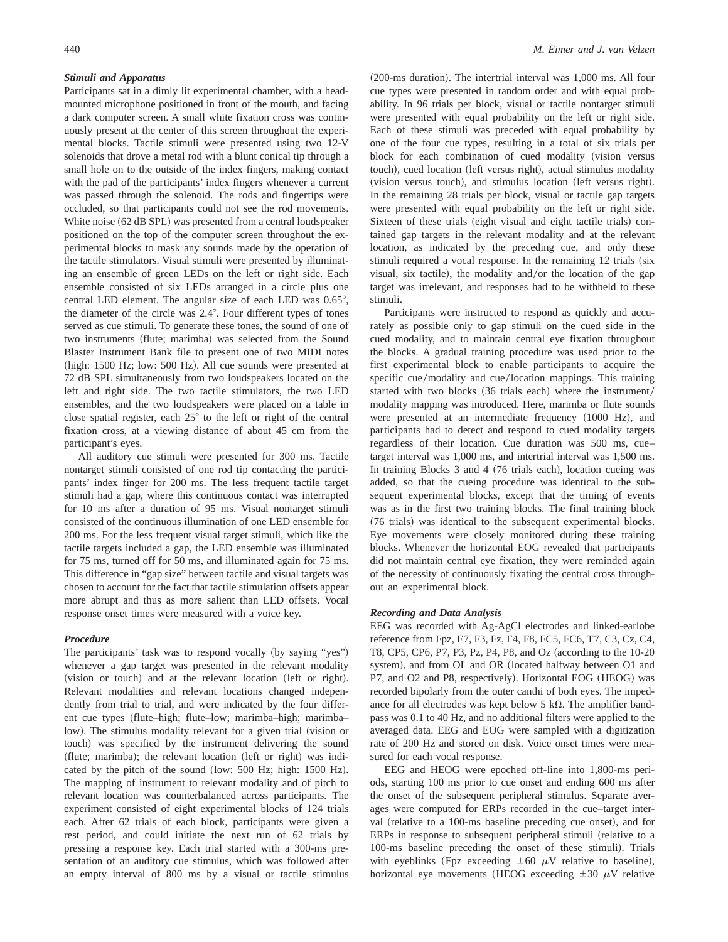## *Stimuli and Apparatus*

Participants sat in a dimly lit experimental chamber, with a headmounted microphone positioned in front of the mouth, and facing a dark computer screen. A small white fixation cross was continuously present at the center of this screen throughout the experimental blocks. Tactile stimuli were presented using two 12-V solenoids that drove a metal rod with a blunt conical tip through a small hole on to the outside of the index fingers, making contact with the pad of the participants' index fingers whenever a current was passed through the solenoid. The rods and fingertips were occluded, so that participants could not see the rod movements. White noise (62 dB SPL) was presented from a central loudspeaker positioned on the top of the computer screen throughout the experimental blocks to mask any sounds made by the operation of the tactile stimulators. Visual stimuli were presented by illuminating an ensemble of green LEDs on the left or right side. Each ensemble consisted of six LEDs arranged in a circle plus one central LED element. The angular size of each LED was  $0.65^{\circ}$ , the diameter of the circle was 2.4°. Four different types of tones served as cue stimuli. To generate these tones, the sound of one of two instruments (flute; marimba) was selected from the Sound Blaster Instrument Bank file to present one of two MIDI notes (high: 1500 Hz; low: 500 Hz). All cue sounds were presented at 72 dB SPL simultaneously from two loudspeakers located on the left and right side. The two tactile stimulators, the two LED ensembles, and the two loudspeakers were placed on a table in close spatial register, each  $25^{\circ}$  to the left or right of the central fixation cross, at a viewing distance of about 45 cm from the participant's eyes.

All auditory cue stimuli were presented for 300 ms. Tactile nontarget stimuli consisted of one rod tip contacting the participants' index finger for 200 ms. The less frequent tactile target stimuli had a gap, where this continuous contact was interrupted for 10 ms after a duration of 95 ms. Visual nontarget stimuli consisted of the continuous illumination of one LED ensemble for 200 ms. For the less frequent visual target stimuli, which like the tactile targets included a gap, the LED ensemble was illuminated for 75 ms, turned off for 50 ms, and illuminated again for 75 ms. This difference in "gap size" between tactile and visual targets was chosen to account for the fact that tactile stimulation offsets appear more abrupt and thus as more salient than LED offsets. Vocal response onset times were measured with a voice key.

## *Procedure*

The participants' task was to respond vocally (by saying "yes") whenever a gap target was presented in the relevant modality (vision or touch) and at the relevant location (left or right). Relevant modalities and relevant locations changed independently from trial to trial, and were indicated by the four different cue types (flute–high; flute–low; marimba–high; marimba– low). The stimulus modality relevant for a given trial (vision or touch) was specified by the instrument delivering the sound (flute; marimba); the relevant location (left or right) was indicated by the pitch of the sound (low: 500 Hz; high: 1500 Hz). The mapping of instrument to relevant modality and of pitch to relevant location was counterbalanced across participants. The experiment consisted of eight experimental blocks of 124 trials each. After 62 trials of each block, participants were given a rest period, and could initiate the next run of 62 trials by pressing a response key. Each trial started with a 300-ms presentation of an auditory cue stimulus, which was followed after an empty interval of 800 ms by a visual or tactile stimulus

 $(200\text{-ms duration})$ . The intertrial interval was  $1,000$  ms. All four cue types were presented in random order and with equal probability. In 96 trials per block, visual or tactile nontarget stimuli were presented with equal probability on the left or right side. Each of these stimuli was preceded with equal probability by one of the four cue types, resulting in a total of six trials per block for each combination of cued modality (vision versus touch), cued location (left versus right), actual stimulus modality (vision versus touch), and stimulus location (left versus right). In the remaining 28 trials per block, visual or tactile gap targets were presented with equal probability on the left or right side. Sixteen of these trials (eight visual and eight tactile trials) contained gap targets in the relevant modality and at the relevant location, as indicated by the preceding cue, and only these stimuli required a vocal response. In the remaining  $12$  trials  $(six)$ visual, six tactile), the modality and/or the location of the gap target was irrelevant, and responses had to be withheld to these stimuli.

Participants were instructed to respond as quickly and accurately as possible only to gap stimuli on the cued side in the cued modality, and to maintain central eye fixation throughout the blocks. A gradual training procedure was used prior to the first experimental block to enable participants to acquire the specific cue/modality and cue/location mappings. This training started with two blocks  $(36 \text{ trials each})$  where the instrument/ modality mapping was introduced. Here, marimba or flute sounds were presented at an intermediate frequency (1000 Hz), and participants had to detect and respond to cued modality targets regardless of their location. Cue duration was 500 ms, cue– target interval was 1,000 ms, and intertrial interval was 1,500 ms. In training Blocks  $3$  and  $4$  (76 trials each), location cueing was added, so that the cueing procedure was identical to the subsequent experimental blocks, except that the timing of events was as in the first two training blocks. The final training block (76 trials) was identical to the subsequent experimental blocks. Eye movements were closely monitored during these training blocks. Whenever the horizontal EOG revealed that participants did not maintain central eye fixation, they were reminded again of the necessity of continuously fixating the central cross throughout an experimental block.

## *Recording and Data Analysis*

EEG was recorded with Ag-AgCl electrodes and linked-earlobe reference from Fpz, F7, F3, Fz, F4, F8, FC5, FC6, T7, C3, Cz, C4, T8, CP5, CP6, P7, P3, Pz, P4, P8, and Oz (according to the 10-20 system), and from OL and OR (located halfway between O1 and P7, and O2 and P8, respectively). Horizontal EOG (HEOG) was recorded bipolarly from the outer canthi of both eyes. The impedance for all electrodes was kept below 5 k $\Omega$ . The amplifier bandpass was 0.1 to 40 Hz, and no additional filters were applied to the averaged data. EEG and EOG were sampled with a digitization rate of 200 Hz and stored on disk. Voice onset times were measured for each vocal response.

EEG and HEOG were epoched off-line into 1,800-ms periods, starting 100 ms prior to cue onset and ending 600 ms after the onset of the subsequent peripheral stimulus. Separate averages were computed for ERPs recorded in the cue–target interval (relative to a 100-ms baseline preceding cue onset), and for ERPs in response to subsequent peripheral stimuli (relative to a 100-ms baseline preceding the onset of these stimuli). Trials with eyeblinks (Fpz exceeding  $\pm 60 \mu$ V relative to baseline), horizontal eye movements (HEOG exceeding  $\pm 30 \mu$ V relative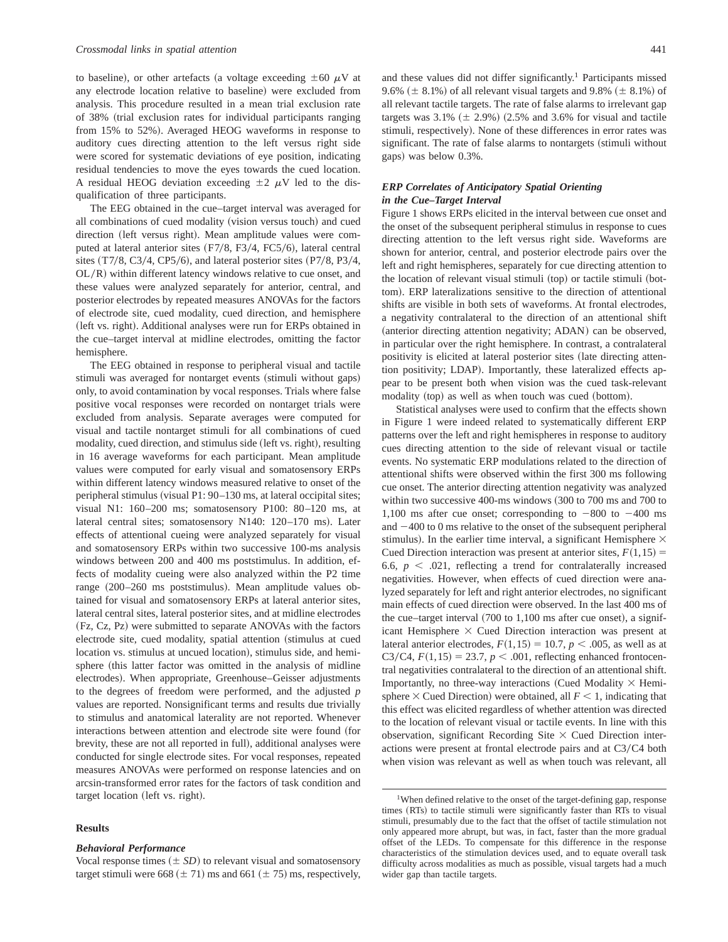to baseline), or other artefacts (a voltage exceeding  $\pm 60 \mu$ V at any electrode location relative to baseline) were excluded from analysis. This procedure resulted in a mean trial exclusion rate of 38% (trial exclusion rates for individual participants ranging from 15% to 52%). Averaged HEOG waveforms in response to auditory cues directing attention to the left versus right side were scored for systematic deviations of eye position, indicating residual tendencies to move the eyes towards the cued location. A residual HEOG deviation exceeding  $\pm 2$   $\mu$ V led to the disqualification of three participants.

The EEG obtained in the cue–target interval was averaged for all combinations of cued modality (vision versus touch) and cued direction (left versus right). Mean amplitude values were computed at lateral anterior sites  $(F7/8, F3/4, FCS/6)$ , lateral central sites  $(T7/8, C3/4, CP5/6)$ , and lateral posterior sites  $(P7/8, P3/4, P3/4)$  $OL/R)$  within different latency windows relative to cue onset, and these values were analyzed separately for anterior, central, and posterior electrodes by repeated measures ANOVAs for the factors of electrode site, cued modality, cued direction, and hemisphere (left vs. right). Additional analyses were run for ERPs obtained in the cue–target interval at midline electrodes, omitting the factor hemisphere.

The EEG obtained in response to peripheral visual and tactile stimuli was averaged for nontarget events (stimuli without gaps) only, to avoid contamination by vocal responses. Trials where false positive vocal responses were recorded on nontarget trials were excluded from analysis. Separate averages were computed for visual and tactile nontarget stimuli for all combinations of cued modality, cued direction, and stimulus side (left vs. right), resulting in 16 average waveforms for each participant. Mean amplitude values were computed for early visual and somatosensory ERPs within different latency windows measured relative to onset of the peripheral stimulus (visual P1: 90–130 ms, at lateral occipital sites; visual N1: 160–200 ms; somatosensory P100: 80–120 ms, at lateral central sites; somatosensory N140: 120-170 ms). Later effects of attentional cueing were analyzed separately for visual and somatosensory ERPs within two successive 100-ms analysis windows between 200 and 400 ms poststimulus. In addition, effects of modality cueing were also analyzed within the P2 time range  $(200–260 \text{ ms poststimulus})$ . Mean amplitude values obtained for visual and somatosensory ERPs at lateral anterior sites, lateral central sites, lateral posterior sites, and at midline electrodes (Fz, Cz, Pz) were submitted to separate ANOVAs with the factors electrode site, cued modality, spatial attention (stimulus at cued location vs. stimulus at uncued location), stimulus side, and hemisphere (this latter factor was omitted in the analysis of midline electrodes). When appropriate, Greenhouse-Geisser adjustments to the degrees of freedom were performed, and the adjusted *p* values are reported. Nonsignificant terms and results due trivially to stimulus and anatomical laterality are not reported. Whenever interactions between attention and electrode site were found (for brevity, these are not all reported in full), additional analyses were conducted for single electrode sites. For vocal responses, repeated measures ANOVAs were performed on response latencies and on arcsin-transformed error rates for the factors of task condition and target location (left vs. right).

#### **Results**

#### *Behavioral Performance*

Vocal response times  $(\pm SD)$  to relevant visual and somatosensory target stimuli were 668  $(\pm 71)$  ms and 661  $(\pm 75)$  ms, respectively,

and these values did not differ significantly.<sup>1</sup> Participants missed 9.6%  $(\pm 8.1\%)$  of all relevant visual targets and 9.8%  $(\pm 8.1\%)$  of all relevant tactile targets. The rate of false alarms to irrelevant gap targets was  $3.1\%$  ( $\pm$  2.9%) (2.5% and 3.6% for visual and tactile stimuli, respectively). None of these differences in error rates was significant. The rate of false alarms to nontargets (stimuli without gaps) was below 0.3%.

# *ERP Correlates of Anticipatory Spatial Orienting in the Cue–Target Interval*

Figure 1 shows ERPs elicited in the interval between cue onset and the onset of the subsequent peripheral stimulus in response to cues directing attention to the left versus right side. Waveforms are shown for anterior, central, and posterior electrode pairs over the left and right hemispheres, separately for cue directing attention to the location of relevant visual stimuli  $({\rm top})$  or tactile stimuli  $({\rm bot-}$ tom). ERP lateralizations sensitive to the direction of attentional shifts are visible in both sets of waveforms. At frontal electrodes, a negativity contralateral to the direction of an attentional shift (anterior directing attention negativity; ADAN) can be observed, in particular over the right hemisphere. In contrast, a contralateral positivity is elicited at lateral posterior sites (late directing attention positivity; LDAP). Importantly, these lateralized effects appear to be present both when vision was the cued task-relevant modality (top) as well as when touch was cued (bottom).

Statistical analyses were used to confirm that the effects shown in Figure 1 were indeed related to systematically different ERP patterns over the left and right hemispheres in response to auditory cues directing attention to the side of relevant visual or tactile events. No systematic ERP modulations related to the direction of attentional shifts were observed within the first 300 ms following cue onset. The anterior directing attention negativity was analyzed within two successive 400-ms windows  $(300 \text{ to } 700 \text{ ms and } 700 \text{ to }$ 1,100 ms after cue onset; corresponding to  $-800$  to  $-400$  ms and  $-400$  to 0 ms relative to the onset of the subsequent peripheral stimulus). In the earlier time interval, a significant Hemisphere  $\times$ Cued Direction interaction was present at anterior sites,  $F(1,15) =$ 6.6,  $p < .021$ , reflecting a trend for contralaterally increased negativities. However, when effects of cued direction were analyzed separately for left and right anterior electrodes, no significant main effects of cued direction were observed. In the last 400 ms of the cue–target interval  $(700 \text{ to } 1,100 \text{ ms after cue onset})$ , a significant Hemisphere  $\times$  Cued Direction interaction was present at lateral anterior electrodes,  $F(1,15) = 10.7$ ,  $p < .005$ , as well as at C3/C4,  $F(1,15) = 23.7$ ,  $p < .001$ , reflecting enhanced frontocentral negativities contralateral to the direction of an attentional shift. Importantly, no three-way interactions (Cued Modality  $\times$  Hemisphere  $\times$  Cued Direction) were obtained, all  $F \leq 1$ , indicating that this effect was elicited regardless of whether attention was directed to the location of relevant visual or tactile events. In line with this observation, significant Recording Site  $\times$  Cued Direction interactions were present at frontal electrode pairs and at  $C3/C4$  both when vision was relevant as well as when touch was relevant, all

<sup>&</sup>lt;sup>1</sup>When defined relative to the onset of the target-defining gap, response times (RTs) to tactile stimuli were significantly faster than RTs to visual stimuli, presumably due to the fact that the offset of tactile stimulation not only appeared more abrupt, but was, in fact, faster than the more gradual offset of the LEDs. To compensate for this difference in the response characteristics of the stimulation devices used, and to equate overall task difficulty across modalities as much as possible, visual targets had a much wider gap than tactile targets.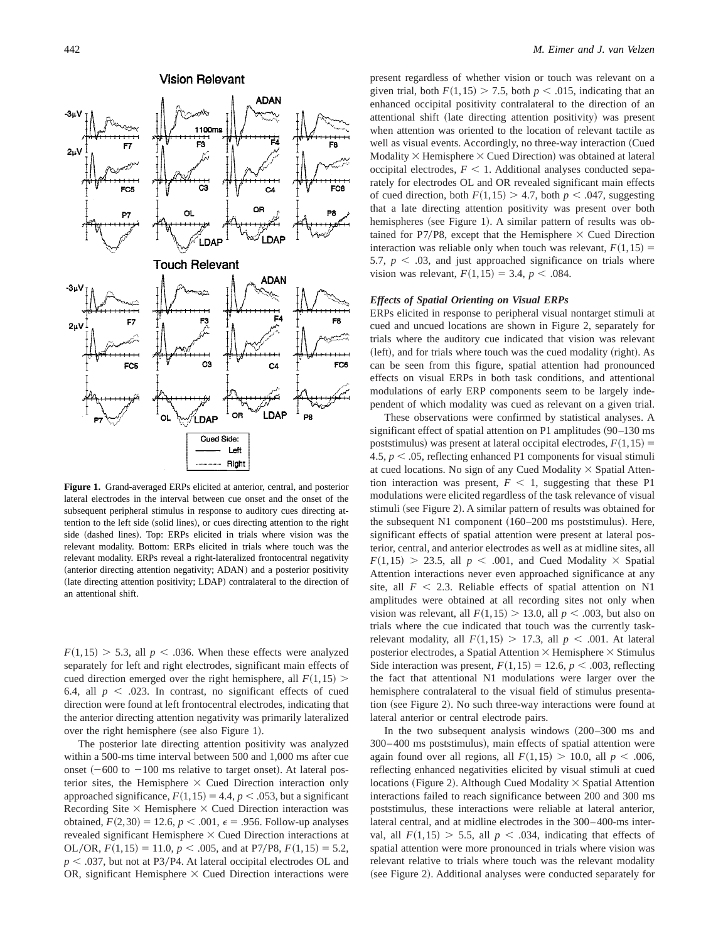

**Figure 1.** Grand-averaged ERPs elicited at anterior, central, and posterior lateral electrodes in the interval between cue onset and the onset of the subsequent peripheral stimulus in response to auditory cues directing attention to the left side (solid lines), or cues directing attention to the right side (dashed lines). Top: ERPs elicited in trials where vision was the relevant modality. Bottom: ERPs elicited in trials where touch was the relevant modality. ERPs reveal a right-lateralized frontocentral negativity (anterior directing attention negativity; ADAN) and a posterior positivity (late directing attention positivity; LDAP) contralateral to the direction of an attentional shift.

 $F(1,15)$  > 5.3, all *p* < .036. When these effects were analyzed separately for left and right electrodes, significant main effects of cued direction emerged over the right hemisphere, all  $F(1,15)$  > 6.4, all  $p < .023$ . In contrast, no significant effects of cued direction were found at left frontocentral electrodes, indicating that the anterior directing attention negativity was primarily lateralized over the right hemisphere (see also Figure 1).

The posterior late directing attention positivity was analyzed within a 500-ms time interval between 500 and 1,000 ms after cue onset  $(-600$  to  $-100$  ms relative to target onset). At lateral posterior sites, the Hemisphere  $\times$  Cued Direction interaction only approached significance,  $F(1,15) = 4.4$ ,  $p < .053$ , but a significant Recording Site  $\times$  Hemisphere  $\times$  Cued Direction interaction was obtained,  $F(2,30) = 12.6, p < .001, \epsilon = .956$ . Follow-up analyses revealed significant Hemisphere  $\times$  Cued Direction interactions at OL/OR,  $F(1,15) = 11.0, p < .005$ , and at P7/P8,  $F(1,15) = 5.2$ ,  $p < .037$ , but not at P3/P4. At lateral occipital electrodes OL and OR, significant Hemisphere  $\times$  Cued Direction interactions were

present regardless of whether vision or touch was relevant on a given trial, both  $F(1,15) > 7.5$ , both  $p < .015$ , indicating that an enhanced occipital positivity contralateral to the direction of an attentional shift (late directing attention positivity) was present when attention was oriented to the location of relevant tactile as well as visual events. Accordingly, no three-way interaction (Cued Modality  $\times$  Hemisphere  $\times$  Cued Direction) was obtained at lateral occipital electrodes,  $F \leq 1$ . Additional analyses conducted separately for electrodes OL and OR revealed significant main effects of cued direction, both  $F(1,15) > 4.7$ , both  $p < .047$ , suggesting that a late directing attention positivity was present over both hemispheres (see Figure 1). A similar pattern of results was obtained for P7/P8, except that the Hemisphere  $\times$  Cued Direction interaction was reliable only when touch was relevant,  $F(1,15) =$ 5.7,  $p < .03$ , and just approached significance on trials where vision was relevant,  $F(1,15) = 3.4, p < .084$ .

#### *Effects of Spatial Orienting on Visual ERPs*

ERPs elicited in response to peripheral visual nontarget stimuli at cued and uncued locations are shown in Figure 2, separately for trials where the auditory cue indicated that vision was relevant (left), and for trials where touch was the cued modality (right). As can be seen from this figure, spatial attention had pronounced effects on visual ERPs in both task conditions, and attentional modulations of early ERP components seem to be largely independent of which modality was cued as relevant on a given trial.

These observations were confirmed by statistical analyses. A significant effect of spatial attention on P1 amplitudes  $(90-130 \text{ ms})$ poststimulus) was present at lateral occipital electrodes,  $F(1,15)$  = 4.5,  $p < .05$ , reflecting enhanced P1 components for visual stimuli at cued locations. No sign of any Cued Modality  $\times$  Spatial Attention interaction was present,  $F < 1$ , suggesting that these P1 modulations were elicited regardless of the task relevance of visual stimuli (see Figure 2). A similar pattern of results was obtained for the subsequent N1 component  $(160–200 \text{ ms poststimulus}).$  Here, significant effects of spatial attention were present at lateral posterior, central, and anterior electrodes as well as at midline sites, all  $F(1,15)$  > 23.5, all  $p < .001$ , and Cued Modality  $\times$  Spatial Attention interactions never even approached significance at any site, all  $F \n\leq 2.3$ . Reliable effects of spatial attention on N1 amplitudes were obtained at all recording sites not only when vision was relevant, all  $F(1,15) > 13.0$ , all  $p < .003$ , but also on trials where the cue indicated that touch was the currently taskrelevant modality, all  $F(1,15) > 17.3$ , all  $p < .001$ . At lateral posterior electrodes, a Spatial Attention  $\times$  Hemisphere  $\times$  Stimulus Side interaction was present,  $F(1,15) = 12.6$ ,  $p < .003$ , reflecting the fact that attentional N1 modulations were larger over the hemisphere contralateral to the visual field of stimulus presentation (see Figure 2). No such three-way interactions were found at lateral anterior or central electrode pairs.

In the two subsequent analysis windows  $(200-300 \text{ ms and}$ 300–400 ms poststimulus), main effects of spatial attention were again found over all regions, all  $F(1,15) > 10.0$ , all  $p < .006$ , reflecting enhanced negativities elicited by visual stimuli at cued locations (Figure 2). Although Cued Modality  $\times$  Spatial Attention interactions failed to reach significance between 200 and 300 ms poststimulus, these interactions were reliable at lateral anterior, lateral central, and at midline electrodes in the 300–400-ms interval, all  $F(1,15) > 5.5$ , all  $p < .034$ , indicating that effects of spatial attention were more pronounced in trials where vision was relevant relative to trials where touch was the relevant modality (see Figure 2). Additional analyses were conducted separately for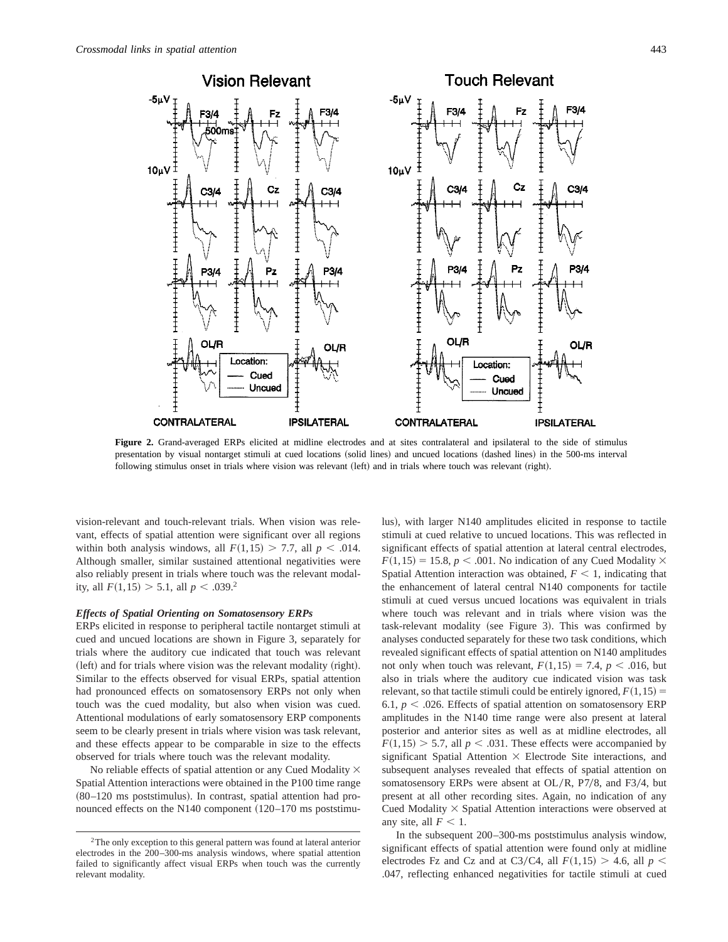

**Figure 2.** Grand-averaged ERPs elicited at midline electrodes and at sites contralateral and ipsilateral to the side of stimulus presentation by visual nontarget stimuli at cued locations (solid lines) and uncued locations (dashed lines) in the 500-ms interval following stimulus onset in trials where vision was relevant (left) and in trials where touch was relevant (right).

vision-relevant and touch-relevant trials. When vision was relevant, effects of spatial attention were significant over all regions within both analysis windows, all  $F(1,15) > 7.7$ , all  $p < .014$ . Although smaller, similar sustained attentional negativities were also reliably present in trials where touch was the relevant modality, all  $F(1,15) > 5.1$ , all  $p < .039$ .<sup>2</sup>

# *Effects of Spatial Orienting on Somatosensory ERPs*

ERPs elicited in response to peripheral tactile nontarget stimuli at cued and uncued locations are shown in Figure 3, separately for trials where the auditory cue indicated that touch was relevant  $(\text{left})$  and for trials where vision was the relevant modality  $(\text{right})$ . Similar to the effects observed for visual ERPs, spatial attention had pronounced effects on somatosensory ERPs not only when touch was the cued modality, but also when vision was cued. Attentional modulations of early somatosensory ERP components seem to be clearly present in trials where vision was task relevant, and these effects appear to be comparable in size to the effects observed for trials where touch was the relevant modality.

No reliable effects of spatial attention or any Cued Modality  $\times$ Spatial Attention interactions were obtained in the P100 time range  $(80-120 \text{ ms poststimulus})$ . In contrast, spatial attention had pronounced effects on the N140 component  $(120-170 \text{ ms poststimu-}$  lus), with larger N140 amplitudes elicited in response to tactile stimuli at cued relative to uncued locations. This was reflected in significant effects of spatial attention at lateral central electrodes,  $F(1,15) = 15.8, p < .001$ . No indication of any Cued Modality  $\times$ Spatial Attention interaction was obtained,  $F \leq 1$ , indicating that the enhancement of lateral central N140 components for tactile stimuli at cued versus uncued locations was equivalent in trials where touch was relevant and in trials where vision was the task-relevant modality (see Figure 3). This was confirmed by analyses conducted separately for these two task conditions, which revealed significant effects of spatial attention on N140 amplitudes not only when touch was relevant,  $F(1,15) = 7.4$ ,  $p < .016$ , but also in trials where the auditory cue indicated vision was task relevant, so that tactile stimuli could be entirely ignored,  $F(1,15) =$ 6.1,  $p < .026$ . Effects of spatial attention on somatosensory ERP amplitudes in the N140 time range were also present at lateral posterior and anterior sites as well as at midline electrodes, all  $F(1,15)$  > 5.7, all  $p < .031$ . These effects were accompanied by significant Spatial Attention  $\times$  Electrode Site interactions, and subsequent analyses revealed that effects of spatial attention on somatosensory ERPs were absent at OL/R, P7/8, and F3/4, but present at all other recording sites. Again, no indication of any Cued Modality  $\times$  Spatial Attention interactions were observed at any site, all  $F < 1$ .

In the subsequent 200–300-ms poststimulus analysis window, significant effects of spatial attention were found only at midline electrodes Fz and Cz and at C3/C4, all  $F(1,15) > 4.6$ , all  $p <$ .047, reflecting enhanced negativities for tactile stimuli at cued

<sup>2</sup>The only exception to this general pattern was found at lateral anterior electrodes in the 200–300-ms analysis windows, where spatial attention failed to significantly affect visual ERPs when touch was the currently relevant modality.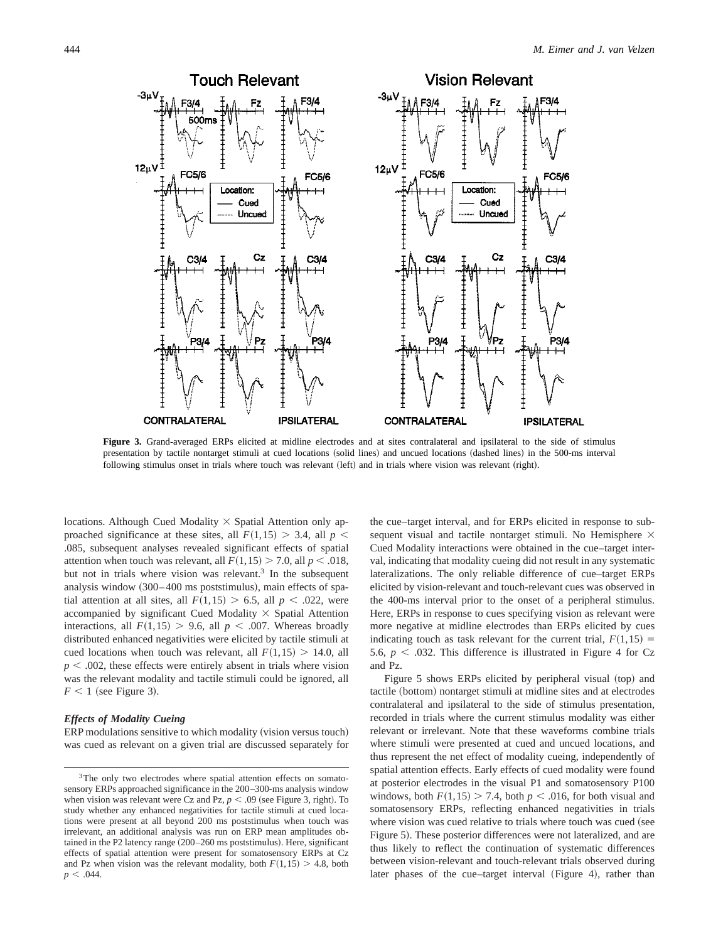

**Figure 3.** Grand-averaged ERPs elicited at midline electrodes and at sites contralateral and ipsilateral to the side of stimulus presentation by tactile nontarget stimuli at cued locations (solid lines) and uncued locations (dashed lines) in the 500-ms interval following stimulus onset in trials where touch was relevant (left) and in trials where vision was relevant (right).

locations. Although Cued Modality  $\times$  Spatial Attention only approached significance at these sites, all  $F(1,15) > 3.4$ , all  $p <$ .085, subsequent analyses revealed significant effects of spatial attention when touch was relevant, all  $F(1,15) > 7.0$ , all  $p < .018$ , but not in trials where vision was relevant. $3$  In the subsequent analysis window  $(300-400 \text{ ms poststimulus})$ , main effects of spatial attention at all sites, all  $F(1,15) > 6.5$ , all  $p < .022$ , were accompanied by significant Cued Modality  $\times$  Spatial Attention interactions, all  $F(1,15)$  > 9.6, all  $p < .007$ . Whereas broadly distributed enhanced negativities were elicited by tactile stimuli at cued locations when touch was relevant, all  $F(1,15) > 14.0$ , all  $p < .002$ , these effects were entirely absent in trials where vision was the relevant modality and tactile stimuli could be ignored, all  $F < 1$  (see Figure 3).

## *Effects of Modality Cueing*

ERP modulations sensitive to which modality (vision versus touch) was cued as relevant on a given trial are discussed separately for

the cue–target interval, and for ERPs elicited in response to subsequent visual and tactile nontarget stimuli. No Hemisphere  $\times$ Cued Modality interactions were obtained in the cue–target interval, indicating that modality cueing did not result in any systematic lateralizations. The only reliable difference of cue–target ERPs elicited by vision-relevant and touch-relevant cues was observed in the 400-ms interval prior to the onset of a peripheral stimulus. Here, ERPs in response to cues specifying vision as relevant were more negative at midline electrodes than ERPs elicited by cues indicating touch as task relevant for the current trial,  $F(1,15) =$ 5.6,  $p < .032$ . This difference is illustrated in Figure 4 for Cz and Pz.

Figure 5 shows ERPs elicited by peripheral visual (top) and tactile (bottom) nontarget stimuli at midline sites and at electrodes contralateral and ipsilateral to the side of stimulus presentation, recorded in trials where the current stimulus modality was either relevant or irrelevant. Note that these waveforms combine trials where stimuli were presented at cued and uncued locations, and thus represent the net effect of modality cueing, independently of spatial attention effects. Early effects of cued modality were found at posterior electrodes in the visual P1 and somatosensory P100 windows, both  $F(1,15)$  > 7.4, both  $p < .016$ , for both visual and somatosensory ERPs, reflecting enhanced negativities in trials where vision was cued relative to trials where touch was cued (see Figure 5). These posterior differences were not lateralized, and are thus likely to reflect the continuation of systematic differences between vision-relevant and touch-relevant trials observed during later phases of the cue–target interval (Figure 4), rather than

<sup>&</sup>lt;sup>3</sup>The only two electrodes where spatial attention effects on somatosensory ERPs approached significance in the 200–300-ms analysis window when vision was relevant were Cz and Pz,  $p < .09$  (see Figure 3, right). To study whether any enhanced negativities for tactile stimuli at cued locations were present at all beyond 200 ms poststimulus when touch was irrelevant, an additional analysis was run on ERP mean amplitudes obtained in the P2 latency range  $(200–260 \text{ ms poststimulus})$ . Here, significant effects of spatial attention were present for somatosensory ERPs at Cz and Pz when vision was the relevant modality, both  $F(1,15) > 4.8$ , both  $p < .044$ .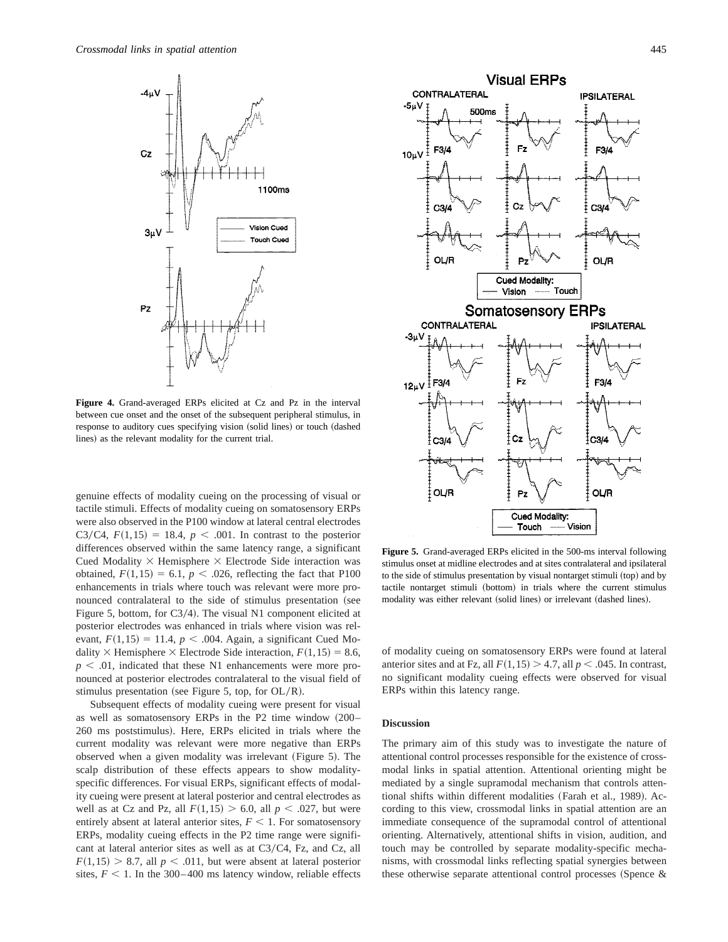

**Figure 4.** Grand-averaged ERPs elicited at Cz and Pz in the interval between cue onset and the onset of the subsequent peripheral stimulus, in response to auditory cues specifying vision (solid lines) or touch (dashed lines) as the relevant modality for the current trial.

genuine effects of modality cueing on the processing of visual or tactile stimuli. Effects of modality cueing on somatosensory ERPs were also observed in the P100 window at lateral central electrodes C3/C4,  $F(1,15) = 18.4, p < .001$ . In contrast to the posterior differences observed within the same latency range, a significant Cued Modality  $\times$  Hemisphere  $\times$  Electrode Side interaction was obtained,  $F(1,15) = 6.1$ ,  $p < .026$ , reflecting the fact that P100 enhancements in trials where touch was relevant were more pronounced contralateral to the side of stimulus presentation (see Figure 5, bottom, for  $C3/4$ ). The visual N1 component elicited at posterior electrodes was enhanced in trials where vision was relevant,  $F(1,15) = 11.4$ ,  $p < .004$ . Again, a significant Cued Modality  $\times$  Hemisphere  $\times$  Electrode Side interaction,  $F(1,15) = 8.6$ ,  $p \leq 0.01$ , indicated that these N1 enhancements were more pronounced at posterior electrodes contralateral to the visual field of stimulus presentation (see Figure 5, top, for  $OL/R$ ).

Subsequent effects of modality cueing were present for visual as well as somatosensory ERPs in the P2 time window  $(200-$ 260 ms poststimulus). Here, ERPs elicited in trials where the current modality was relevant were more negative than ERPs observed when a given modality was irrelevant (Figure 5). The scalp distribution of these effects appears to show modalityspecific differences. For visual ERPs, significant effects of modality cueing were present at lateral posterior and central electrodes as well as at Cz and Pz, all  $F(1,15) > 6.0$ , all  $p < .027$ , but were entirely absent at lateral anterior sites,  $F < 1$ . For somatosensory ERPs, modality cueing effects in the P2 time range were significant at lateral anterior sites as well as at  $C_3/C_4$ , Fz, and Cz, all  $F(1,15) > 8.7$ , all  $p < .011$ , but were absent at lateral posterior sites,  $F < 1$ . In the 300–400 ms latency window, reliable effects



**Figure 5.** Grand-averaged ERPs elicited in the 500-ms interval following stimulus onset at midline electrodes and at sites contralateral and ipsilateral to the side of stimulus presentation by visual nontarget stimuli (top) and by tactile nontarget stimuli (bottom) in trials where the current stimulus modality was either relevant (solid lines) or irrelevant (dashed lines).

of modality cueing on somatosensory ERPs were found at lateral anterior sites and at Fz, all  $F(1,15) > 4.7$ , all  $p < .045$ . In contrast, no significant modality cueing effects were observed for visual ERPs within this latency range.

## **Discussion**

The primary aim of this study was to investigate the nature of attentional control processes responsible for the existence of crossmodal links in spatial attention. Attentional orienting might be mediated by a single supramodal mechanism that controls attentional shifts within different modalities (Farah et al., 1989). According to this view, crossmodal links in spatial attention are an immediate consequence of the supramodal control of attentional orienting. Alternatively, attentional shifts in vision, audition, and touch may be controlled by separate modality-specific mechanisms, with crossmodal links reflecting spatial synergies between these otherwise separate attentional control processes (Spence  $\&$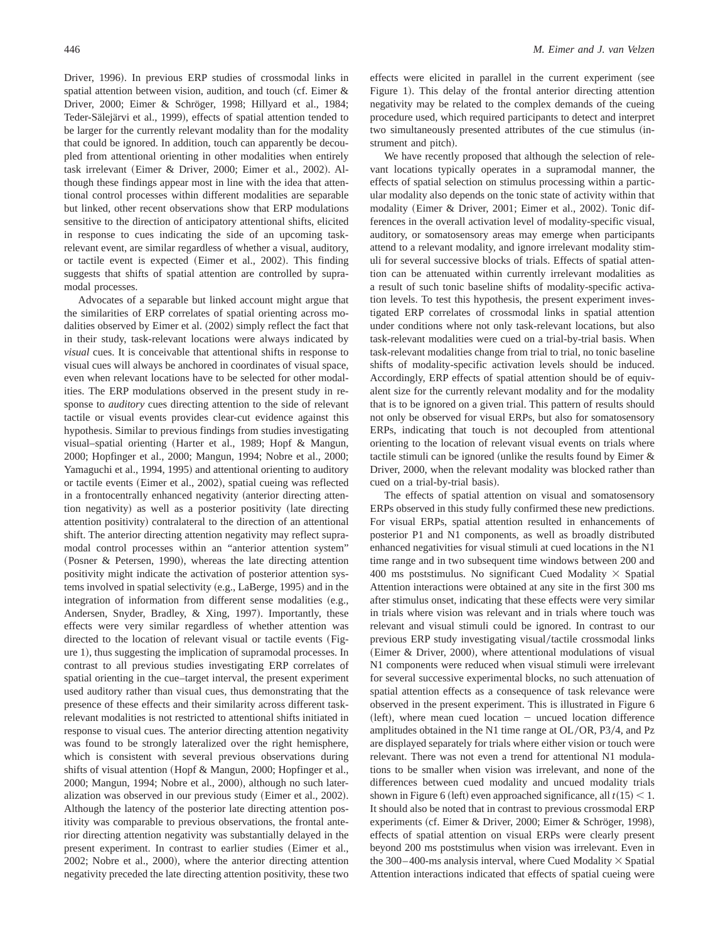Driver, 1996). In previous ERP studies of crossmodal links in spatial attention between vision, audition, and touch (cf. Eimer  $\&$ Driver, 2000; Eimer & Schröger, 1998; Hillyard et al., 1984; Teder-Sälejärvi et al., 1999), effects of spatial attention tended to be larger for the currently relevant modality than for the modality that could be ignored. In addition, touch can apparently be decoupled from attentional orienting in other modalities when entirely task irrelevant (Eimer & Driver, 2000; Eimer et al., 2002). Although these findings appear most in line with the idea that attentional control processes within different modalities are separable but linked, other recent observations show that ERP modulations sensitive to the direction of anticipatory attentional shifts, elicited in response to cues indicating the side of an upcoming taskrelevant event, are similar regardless of whether a visual, auditory, or tactile event is expected (Eimer et al., 2002). This finding suggests that shifts of spatial attention are controlled by supramodal processes.

Advocates of a separable but linked account might argue that the similarities of ERP correlates of spatial orienting across modalities observed by Eimer et al. (2002) simply reflect the fact that in their study, task-relevant locations were always indicated by *visual* cues. It is conceivable that attentional shifts in response to visual cues will always be anchored in coordinates of visual space, even when relevant locations have to be selected for other modalities. The ERP modulations observed in the present study in response to *auditory* cues directing attention to the side of relevant tactile or visual events provides clear-cut evidence against this hypothesis. Similar to previous findings from studies investigating visual–spatial orienting (Harter et al., 1989; Hopf & Mangun, 2000; Hopfinger et al., 2000; Mangun, 1994; Nobre et al., 2000; Yamaguchi et al., 1994, 1995) and attentional orienting to auditory or tactile events (Eimer et al., 2002), spatial cueing was reflected in a frontocentrally enhanced negativity (anterior directing attention negativity) as well as a posterior positivity (late directing attention positivity) contralateral to the direction of an attentional shift. The anterior directing attention negativity may reflect supramodal control processes within an "anterior attention system" (Posner & Petersen, 1990), whereas the late directing attention positivity might indicate the activation of posterior attention systems involved in spatial selectivity (e.g., LaBerge, 1995) and in the integration of information from different sense modalities  $(e.g.,)$ Andersen, Snyder, Bradley, & Xing, 1997). Importantly, these effects were very similar regardless of whether attention was directed to the location of relevant visual or tactile events (Figure 1), thus suggesting the implication of supramodal processes. In contrast to all previous studies investigating ERP correlates of spatial orienting in the cue–target interval, the present experiment used auditory rather than visual cues, thus demonstrating that the presence of these effects and their similarity across different taskrelevant modalities is not restricted to attentional shifts initiated in response to visual cues. The anterior directing attention negativity was found to be strongly lateralized over the right hemisphere, which is consistent with several previous observations during shifts of visual attention (Hopf & Mangun, 2000; Hopfinger et al., 2000; Mangun, 1994; Nobre et al., 2000), although no such lateralization was observed in our previous study (Eimer et al., 2002). Although the latency of the posterior late directing attention positivity was comparable to previous observations, the frontal anterior directing attention negativity was substantially delayed in the present experiment. In contrast to earlier studies (Eimer et al., 2002; Nobre et al., 2000), where the anterior directing attention negativity preceded the late directing attention positivity, these two effects were elicited in parallel in the current experiment (see Figure 1). This delay of the frontal anterior directing attention negativity may be related to the complex demands of the cueing procedure used, which required participants to detect and interpret two simultaneously presented attributes of the cue stimulus (instrument and pitch).

We have recently proposed that although the selection of relevant locations typically operates in a supramodal manner, the effects of spatial selection on stimulus processing within a particular modality also depends on the tonic state of activity within that modality (Eimer & Driver, 2001; Eimer et al., 2002). Tonic differences in the overall activation level of modality-specific visual, auditory, or somatosensory areas may emerge when participants attend to a relevant modality, and ignore irrelevant modality stimuli for several successive blocks of trials. Effects of spatial attention can be attenuated within currently irrelevant modalities as a result of such tonic baseline shifts of modality-specific activation levels. To test this hypothesis, the present experiment investigated ERP correlates of crossmodal links in spatial attention under conditions where not only task-relevant locations, but also task-relevant modalities were cued on a trial-by-trial basis. When task-relevant modalities change from trial to trial, no tonic baseline shifts of modality-specific activation levels should be induced. Accordingly, ERP effects of spatial attention should be of equivalent size for the currently relevant modality and for the modality that is to be ignored on a given trial. This pattern of results should not only be observed for visual ERPs, but also for somatosensory ERPs, indicating that touch is not decoupled from attentional orienting to the location of relevant visual events on trials where tactile stimuli can be ignored (unlike the results found by Eimer  $\&$ Driver, 2000, when the relevant modality was blocked rather than cued on a trial-by-trial basis).

The effects of spatial attention on visual and somatosensory ERPs observed in this study fully confirmed these new predictions. For visual ERPs, spatial attention resulted in enhancements of posterior P1 and N1 components, as well as broadly distributed enhanced negativities for visual stimuli at cued locations in the N1 time range and in two subsequent time windows between 200 and 400 ms poststimulus. No significant Cued Modality  $\times$  Spatial Attention interactions were obtained at any site in the first 300 ms after stimulus onset, indicating that these effects were very similar in trials where vision was relevant and in trials where touch was relevant and visual stimuli could be ignored. In contrast to our previous ERP study investigating visual/tactile crossmodal links (Eimer & Driver, 2000), where attentional modulations of visual N1 components were reduced when visual stimuli were irrelevant for several successive experimental blocks, no such attenuation of spatial attention effects as a consequence of task relevance were observed in the present experiment. This is illustrated in Figure 6  $(left)$ , where mean cued location  $-$  uncued location difference amplitudes obtained in the N1 time range at  $OL/OR$ , P3/4, and Pz are displayed separately for trials where either vision or touch were relevant. There was not even a trend for attentional N1 modulations to be smaller when vision was irrelevant, and none of the differences between cued modality and uncued modality trials shown in Figure 6 (left) even approached significance, all  $t(15) < 1$ . It should also be noted that in contrast to previous crossmodal ERP experiments (cf. Eimer & Driver, 2000; Eimer & Schröger, 1998), effects of spatial attention on visual ERPs were clearly present beyond 200 ms poststimulus when vision was irrelevant. Even in the 300–400-ms analysis interval, where Cued Modality  $\times$  Spatial Attention interactions indicated that effects of spatial cueing were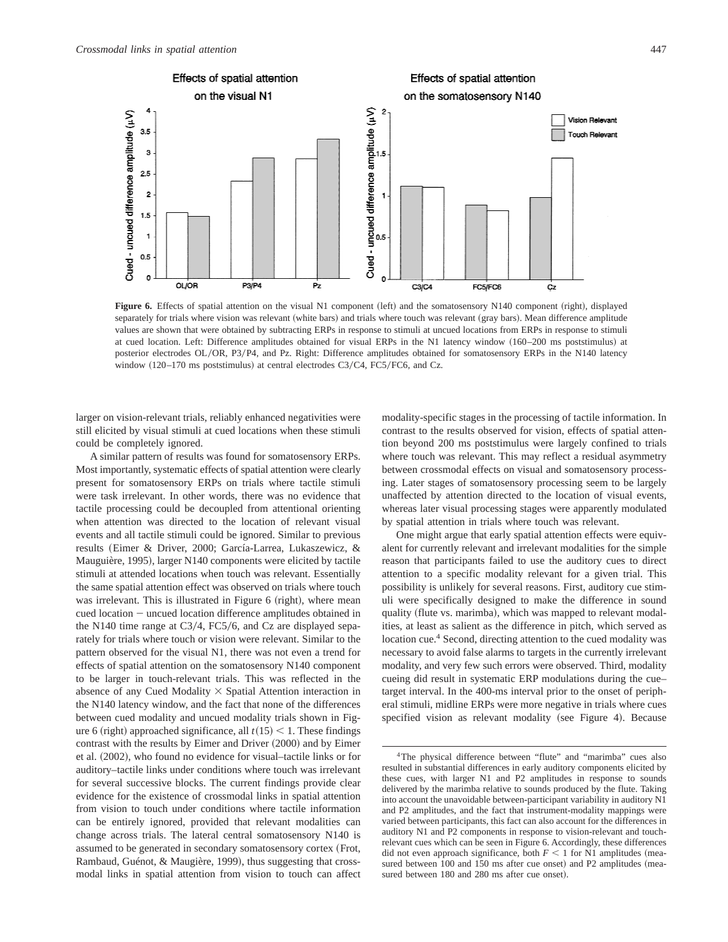

Figure 6. Effects of spatial attention on the visual N1 component (left) and the somatosensory N140 component (right), displayed separately for trials where vision was relevant (white bars) and trials where touch was relevant (gray bars). Mean difference amplitude values are shown that were obtained by subtracting ERPs in response to stimuli at uncued locations from ERPs in response to stimuli at cued location. Left: Difference amplitudes obtained for visual ERPs in the N1 latency window  $(160-200 \text{ ms poststimulus})$  at posterior electrodes OL/OR, P3/P4, and Pz. Right: Difference amplitudes obtained for somatosensory ERPs in the N140 latency window  $(120-170 \text{ ms poststimulus})$  at central electrodes C3/C4, FC5/FC6, and Cz.

larger on vision-relevant trials, reliably enhanced negativities were still elicited by visual stimuli at cued locations when these stimuli could be completely ignored.

A similar pattern of results was found for somatosensory ERPs. Most importantly, systematic effects of spatial attention were clearly present for somatosensory ERPs on trials where tactile stimuli were task irrelevant. In other words, there was no evidence that tactile processing could be decoupled from attentional orienting when attention was directed to the location of relevant visual events and all tactile stimuli could be ignored. Similar to previous results (Eimer & Driver, 2000; García-Larrea, Lukaszewicz, & Mauguière, 1995), larger N140 components were elicited by tactile stimuli at attended locations when touch was relevant. Essentially the same spatial attention effect was observed on trials where touch was irrelevant. This is illustrated in Figure 6 (right), where mean cued location - uncued location difference amplitudes obtained in the N140 time range at C3/4, FC5/6, and Cz are displayed separately for trials where touch or vision were relevant. Similar to the pattern observed for the visual N1, there was not even a trend for effects of spatial attention on the somatosensory N140 component to be larger in touch-relevant trials. This was reflected in the absence of any Cued Modality  $\times$  Spatial Attention interaction in the N140 latency window, and the fact that none of the differences between cued modality and uncued modality trials shown in Figure 6 (right) approached significance, all  $t(15) < 1$ . These findings contrast with the results by Eimer and Driver (2000) and by Eimer et al.  $(2002)$ , who found no evidence for visual–tactile links or for auditory–tactile links under conditions where touch was irrelevant for several successive blocks. The current findings provide clear evidence for the existence of crossmodal links in spatial attention from vision to touch under conditions where tactile information can be entirely ignored, provided that relevant modalities can change across trials. The lateral central somatosensory N140 is assumed to be generated in secondary somatosensory cortex (Frot, Rambaud, Guénot, & Maugière, 1999), thus suggesting that crossmodal links in spatial attention from vision to touch can affect

modality-specific stages in the processing of tactile information. In contrast to the results observed for vision, effects of spatial attention beyond 200 ms poststimulus were largely confined to trials where touch was relevant. This may reflect a residual asymmetry between crossmodal effects on visual and somatosensory processing. Later stages of somatosensory processing seem to be largely unaffected by attention directed to the location of visual events, whereas later visual processing stages were apparently modulated by spatial attention in trials where touch was relevant.

One might argue that early spatial attention effects were equivalent for currently relevant and irrelevant modalities for the simple reason that participants failed to use the auditory cues to direct attention to a specific modality relevant for a given trial. This possibility is unlikely for several reasons. First, auditory cue stimuli were specifically designed to make the difference in sound quality (flute vs. marimba), which was mapped to relevant modalities, at least as salient as the difference in pitch, which served as location cue.4 Second, directing attention to the cued modality was necessary to avoid false alarms to targets in the currently irrelevant modality, and very few such errors were observed. Third, modality cueing did result in systematic ERP modulations during the cue– target interval. In the 400-ms interval prior to the onset of peripheral stimuli, midline ERPs were more negative in trials where cues specified vision as relevant modality (see Figure 4). Because

<sup>4</sup>The physical difference between "flute" and "marimba" cues also resulted in substantial differences in early auditory components elicited by these cues, with larger N1 and P2 amplitudes in response to sounds delivered by the marimba relative to sounds produced by the flute. Taking into account the unavoidable between-participant variability in auditory N1 and P2 amplitudes, and the fact that instrument-modality mappings were varied between participants, this fact can also account for the differences in auditory N1 and P2 components in response to vision-relevant and touchrelevant cues which can be seen in Figure 6. Accordingly, these differences did not even approach significance, both  $F < 1$  for N1 amplitudes (measured between 100 and 150 ms after cue onset) and P2 amplitudes (measured between 180 and 280 ms after cue onset).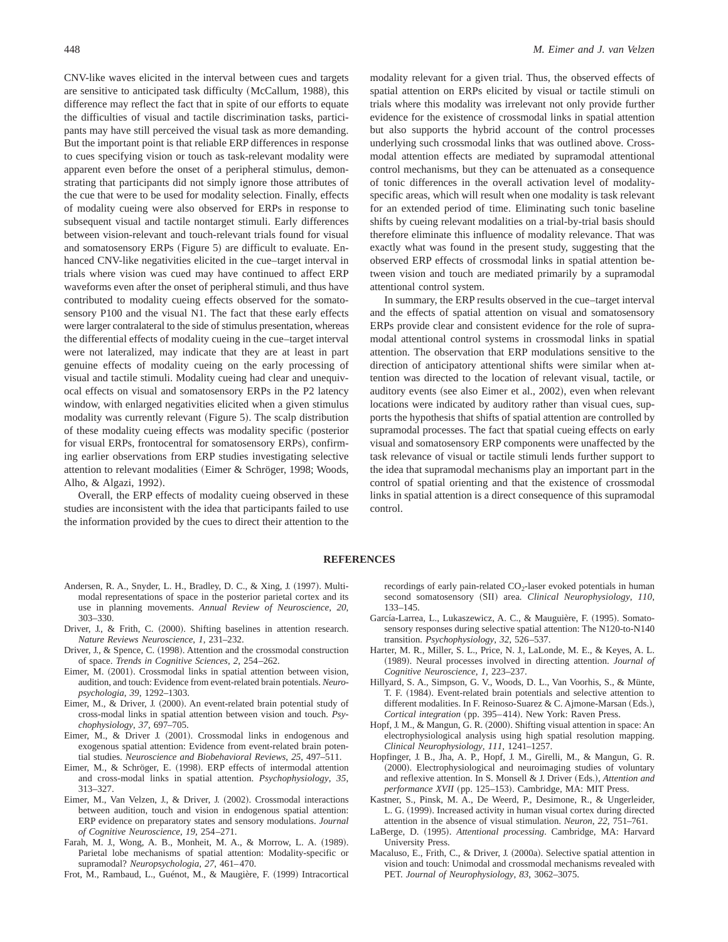CNV-like waves elicited in the interval between cues and targets are sensitive to anticipated task difficulty (McCallum, 1988), this difference may reflect the fact that in spite of our efforts to equate the difficulties of visual and tactile discrimination tasks, participants may have still perceived the visual task as more demanding. But the important point is that reliable ERP differences in response to cues specifying vision or touch as task-relevant modality were apparent even before the onset of a peripheral stimulus, demonstrating that participants did not simply ignore those attributes of the cue that were to be used for modality selection. Finally, effects of modality cueing were also observed for ERPs in response to subsequent visual and tactile nontarget stimuli. Early differences between vision-relevant and touch-relevant trials found for visual and somatosensory ERPs (Figure 5) are difficult to evaluate. Enhanced CNV-like negativities elicited in the cue–target interval in trials where vision was cued may have continued to affect ERP waveforms even after the onset of peripheral stimuli, and thus have contributed to modality cueing effects observed for the somatosensory P100 and the visual N1. The fact that these early effects were larger contralateral to the side of stimulus presentation, whereas the differential effects of modality cueing in the cue–target interval were not lateralized, may indicate that they are at least in part genuine effects of modality cueing on the early processing of visual and tactile stimuli. Modality cueing had clear and unequivocal effects on visual and somatosensory ERPs in the P2 latency window, with enlarged negativities elicited when a given stimulus modality was currently relevant (Figure 5). The scalp distribution of these modality cueing effects was modality specific (posterior for visual ERPs, frontocentral for somatosensory ERPs), confirming earlier observations from ERP studies investigating selective attention to relevant modalities (Eimer & Schröger, 1998; Woods, Alho, & Algazi, 1992).

Overall, the ERP effects of modality cueing observed in these studies are inconsistent with the idea that participants failed to use the information provided by the cues to direct their attention to the

modality relevant for a given trial. Thus, the observed effects of spatial attention on ERPs elicited by visual or tactile stimuli on trials where this modality was irrelevant not only provide further evidence for the existence of crossmodal links in spatial attention but also supports the hybrid account of the control processes underlying such crossmodal links that was outlined above. Crossmodal attention effects are mediated by supramodal attentional control mechanisms, but they can be attenuated as a consequence of tonic differences in the overall activation level of modalityspecific areas, which will result when one modality is task relevant for an extended period of time. Eliminating such tonic baseline shifts by cueing relevant modalities on a trial-by-trial basis should therefore eliminate this influence of modality relevance. That was exactly what was found in the present study, suggesting that the observed ERP effects of crossmodal links in spatial attention between vision and touch are mediated primarily by a supramodal attentional control system.

In summary, the ERP results observed in the cue–target interval and the effects of spatial attention on visual and somatosensory ERPs provide clear and consistent evidence for the role of supramodal attentional control systems in crossmodal links in spatial attention. The observation that ERP modulations sensitive to the direction of anticipatory attentional shifts were similar when attention was directed to the location of relevant visual, tactile, or auditory events (see also Eimer et al., 2002), even when relevant locations were indicated by auditory rather than visual cues, supports the hypothesis that shifts of spatial attention are controlled by supramodal processes. The fact that spatial cueing effects on early visual and somatosensory ERP components were unaffected by the task relevance of visual or tactile stimuli lends further support to the idea that supramodal mechanisms play an important part in the control of spatial orienting and that the existence of crossmodal links in spatial attention is a direct consequence of this supramodal control.

#### **REFERENCES**

- Andersen, R. A., Snyder, L. H., Bradley, D. C., & Xing, J. (1997). Multimodal representations of space in the posterior parietal cortex and its use in planning movements. *Annual Review of Neuroscience*, *20*, 303–330.
- Driver, J., & Frith, C. (2000). Shifting baselines in attention research. *Nature Reviews Neuroscience*, *1*, 231–232.
- Driver, J., & Spence, C. (1998). Attention and the crossmodal construction of space. *Trends in Cognitive Sciences*, *2*, 254–262.
- Eimer, M. (2001). Crossmodal links in spatial attention between vision, audition, and touch: Evidence from event-related brain potentials. *Neuropsychologia*, *39*, 1292–1303.
- Eimer, M., & Driver, J. (2000). An event-related brain potential study of cross-modal links in spatial attention between vision and touch. *Psychophysiology*, *37*, 697–705.
- Eimer, M., & Driver J. (2001). Crossmodal links in endogenous and exogenous spatial attention: Evidence from event-related brain potential studies. *Neuroscience and Biobehavioral Reviews*, *25*, 497–511.
- Eimer, M., & Schröger, E. (1998). ERP effects of intermodal attention and cross-modal links in spatial attention. *Psychophysiology*, *35*, 313–327.
- Eimer, M., Van Velzen, J., & Driver, J. (2002). Crossmodal interactions between audition, touch and vision in endogenous spatial attention: ERP evidence on preparatory states and sensory modulations. *Journal of Cognitive Neuroscience*, *19*, 254–271.
- Farah, M. J., Wong, A. B., Monheit, M. A., & Morrow, L. A. (1989). Parietal lobe mechanisms of spatial attention: Modality-specific or supramodal? *Neuropsychologia*, *27*, 461–470.
- Frot, M., Rambaud, L., Guénot, M., & Maugière, F. (1999) Intracortical

recordings of early pain-related CO<sub>2</sub>-laser evoked potentials in human second somatosensory (SII) area. Clinical Neurophysiology, 110, 133–145.

- García-Larrea, L., Lukaszewicz, A. C., & Mauguière, F. (1995). Somatosensory responses during selective spatial attention: The N120-to-N140 transition. *Psychophysiology*, *32*, 526–537.
- Harter, M. R., Miller, S. L., Price, N. J., LaLonde, M. E., & Keyes, A. L. ~1989!. Neural processes involved in directing attention. *Journal of Cognitive Neuroscience*, *1*, 223–237.
- Hillyard, S. A., Simpson, G. V., Woods, D. L., Van Voorhis, S., & Münte, T. F. (1984). Event-related brain potentials and selective attention to different modalities. In F. Reinoso-Suarez & C. Ajmone-Marsan (Eds.), *Cortical integration* (pp. 395-414). New York: Raven Press.
- Hopf, J. M., & Mangun, G. R. (2000). Shifting visual attention in space: An electrophysiological analysis using high spatial resolution mapping. *Clinical Neurophysiology*, *111*, 1241–1257.
- Hopfinger, J. B., Jha, A. P., Hopf, J. M., Girelli, M., & Mangun, G. R. (2000). Electrophysiological and neuroimaging studies of voluntary and reflexive attention. In S. Monsell & J. Driver (Eds.), *Attention and* performance XVII (pp. 125-153). Cambridge, MA: MIT Press.
- Kastner, S., Pinsk, M. A., De Weerd, P., Desimone, R., & Ungerleider, L. G.  $(1999)$ . Increased activity in human visual cortex during directed attention in the absence of visual stimulation. *Neuron*, *22*, 751–761.
- LaBerge, D. (1995). *Attentional processing*. Cambridge, MA: Harvard University Press.
- Macaluso, E., Frith, C., & Driver, J. (2000a). Selective spatial attention in vision and touch: Unimodal and crossmodal mechanisms revealed with PET. *Journal of Neurophysiology*, *83*, 3062–3075.